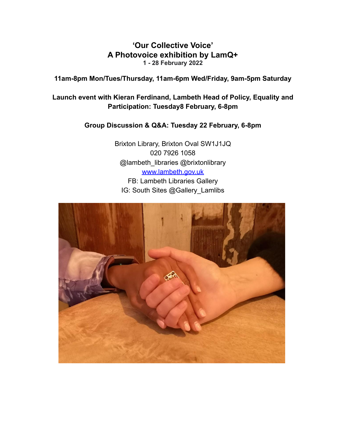## **'Our Collective Voice' A Photovoice exhibition by LamQ+ 1 - 28 February 2022**

**11am-8pm Mon/Tues/Thursday, 11am-6pm Wed/Friday, 9am-5pm Saturday**

## **Launch event with Kieran Ferdinand, Lambeth Head of Policy, Equality and Participation: Tuesday8 February, 6-8pm**

## **Group Discussion & Q&A: Tuesday 22 February, 6-8pm**

Brixton Library, Brixton Oval SW1J1JQ 020 7926 1058 @lambeth\_libraries @brixtonlibrary [www.lambeth.gov.uk](http://www.lambeth.gov.uk) FB: Lambeth Libraries Gallery IG: South Sites @Gallery\_Lamlibs